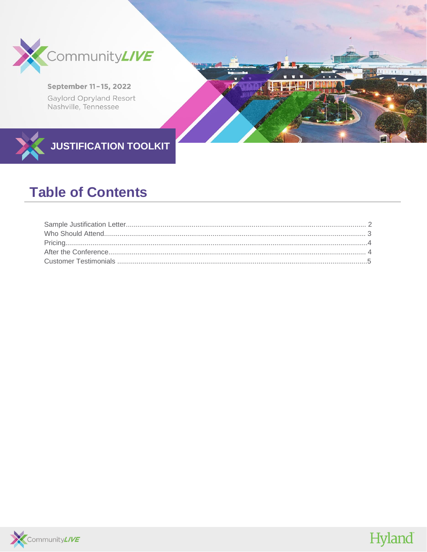

## September 11-15, 2022 Gaylord Opryland Resort Nashville, Tennessee

Hyland

**JUSTIFICATION TOOLKIT** 

# **Table of Contents**

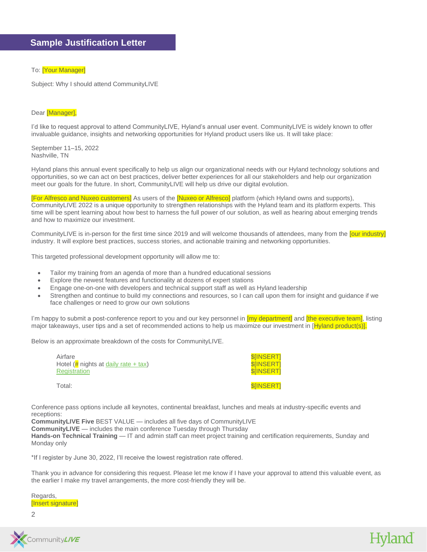#### To: **[Your Manager]**

Subject: Why I should attend CommunityLIVE

#### Dear [Manager],

I'd like to request approval to attend CommunityLIVE, Hyland's annual user event. CommunityLIVE is widely known to offer invaluable guidance, insights and networking opportunities for Hyland product users like us. It will take place:

September 11–15, 2022 Nashville, TN

Hyland plans this annual event specifically to help us align our organizational needs with our Hyland technology solutions and opportunities, so we can act on best practices, deliver better experiences for all our stakeholders and help our organization meet our goals for the future. In short, CommunityLIVE will help us drive our digital evolution.

[For Alfresco and Nuxeo customers] As users of the [Nuxeo or Alfresco] platform (which Hyland owns and supports), CommunityLIVE 2022 is a unique opportunity to strengthen relationships with the Hyland team and its platform experts. This time will be spent learning about how best to harness the full power of our solution, as well as hearing about emerging trends and how to maximize our investment.

CommunityLIVE is in-person for the first time since 2019 and will welcome thousands of attendees, many from the [our industry] industry. It will explore best practices, success stories, and actionable training and networking opportunities.

This targeted professional development opportunity will allow me to:

- Tailor my training from an agenda of more than a hundred educational sessions
- Explore the newest features and functionality at dozens of expert stations
- Engage one-on-one with developers and technical support staff as well as Hyland leadership
- Strengthen and continue to build my connections and resources, so I can call upon them for insight and guidance if we face challenges or need to grow our own solutions

I'm happy to submit a post-conference report to you and our key personnel in [my department] and [the executive team], listing major takeaways, user tips and a set of recommended actions to help us maximize our investment in [Hyland product(s)].

Below is an approximate breakdown of the costs for CommunityLIVE.

Airfare \$[INSERT] \$ Hotel (# nights a[t daily rate + tax\)](https://www.communitylive.com/travel) \$[INSERT] **[Registration](https://www.communitylive.com/register)** 

Total: **\$**[INSERT]

Hyland

Conference pass options include all keynotes, continental breakfast, lunches and meals at industry-specific events and receptions:

**CommunityLIVE Five** BEST VALUE — includes all five days of CommunityLIVE

**CommunityLIVE** — includes the main conference Tuesday through Thursday

**Hands-on Technical Training** — IT and admin staff can meet project training and certification requirements, Sunday and Monday only

\*If I register by June 30, 2022, I'll receive the lowest registration rate offered.

Thank you in advance for considering this request. Please let me know if I have your approval to attend this valuable event, as the earlier I make my travel arrangements, the more cost-friendly they will be.

Regards, [Insert signature]

2

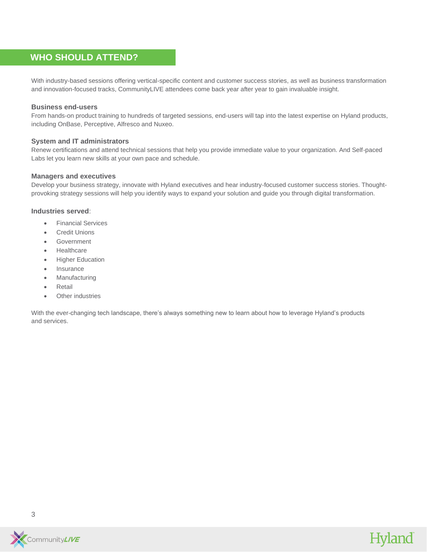# **WHO SHOULD ATTEND?**

With industry-based sessions offering vertical-specific content and customer success stories, as well as business transformation and innovation-focused tracks, CommunityLIVE attendees come back year after year to gain invaluable insight.

#### **Business end-users**

From hands-on product training to hundreds of targeted sessions, end-users will tap into the latest expertise on Hyland products, including OnBase, Perceptive, Alfresco and Nuxeo.

#### **System and IT administrators**

Renew certifications and attend technical sessions that help you provide immediate value to your organization. And Self-paced Labs let you learn new skills at your own pace and schedule.

#### **Managers and executives**

Develop your business strategy, innovate with Hyland executives and hear industry-focused customer success stories. Thoughtprovoking strategy sessions will help you identify ways to expand your solution and guide you through digital transformation.

#### **Industries served**:

- Financial Services
- Credit Unions
- **Government**
- Healthcare
- Higher Education
- **Insurance**
- **Manufacturing**
- **Retail**
- **Other industries**

With the ever-changing tech landscape, there's always something new to learn about how to leverage Hyland's products and services.

Hyland

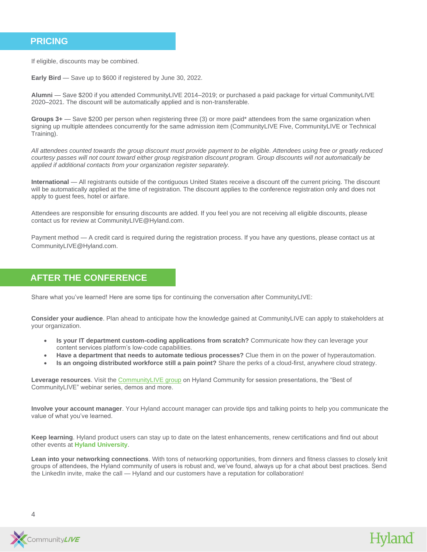### **PRICING**

If eligible, discounts may be combined.

**Early Bird** — Save up to \$600 if registered by June 30, 2022.

**Alumni** — Save \$200 if you attended CommunityLIVE 2014–2019; or purchased a paid package for virtual CommunityLIVE 2020–2021. The discount will be automatically applied and is non-transferable.

**Groups 3+** — Save \$200 per person when registering three (3) or more paid\* attendees from the same organization when signing up multiple attendees concurrently for the same admission item (CommunityLIVE Five, CommunityLIVE or Technical Training).

*All attendees counted towards the group discount must provide payment to be eligible. Attendees using free or greatly reduced courtesy passes will not count toward either group registration discount program. Group discounts will not automatically be applied if additional contacts from your organization register separately.* 

**International** — All registrants outside of the contiguous United States receive a discount off the current pricing. The discount will be automatically applied at the time of registration. The discount applies to the conference registration only and does not apply to guest fees, hotel or airfare.

Attendees are responsible for ensuring discounts are added. If you feel you are not receiving all eligible discounts, please contact us for review at [CommunityLIVE@Hyland.com.](mailto:CommunityLIVE@Hyland.com)

Payment method — A credit card is required during the registration process. If you have any questions, please contact us at [CommunityLIVE@Hyland.com.](mailto:CommunityLIVE@Hyland.com)

## **AFTER THE CONFERENCE**

Share what you've learned! Here are some tips for continuing the conversation after CommunityLIVE:

**Consider your audience**. Plan ahead to anticipate how the knowledge gained at CommunityLIVE can apply to stakeholders at your organization.

- **Is your IT department custom-coding applications from scratch?** Communicate how they can leverage your content services platform's low-code capabilities.
- **Have a department that needs to automate tedious processes?** Clue them in on the power of hyperautomation.
- **Is an ongoing distributed workforce still a pain point?** Share the perks of a cloud-first, anywhere cloud strategy.

**Leverage resources**. Visit th[e CommunityLIVE group](https://community.hyland.com/en/connect/community-live) on Hyland Community for session presentations, the "Best of CommunityLIVE" webinar series, demos and more.

**Involve your account manager**. Your Hyland account manager can provide tips and talking points to help you communicate the value of what you've learned.

**Keep learning**. Hyland product users can stay up to date on the latest enhancements, renew certifications and find out about other events at **[Hyland University](https://university.hyland.com/)**.

**Lean into your networking connections**. With tons of networking opportunities, from dinners and fitness classes to closely knit groups of attendees, the Hyland community of users is robust and, we've found, always up for a chat about best practices. Send the LinkedIn invite, make the call — Hyland and our customers have a reputation for collaboration!

Hyland